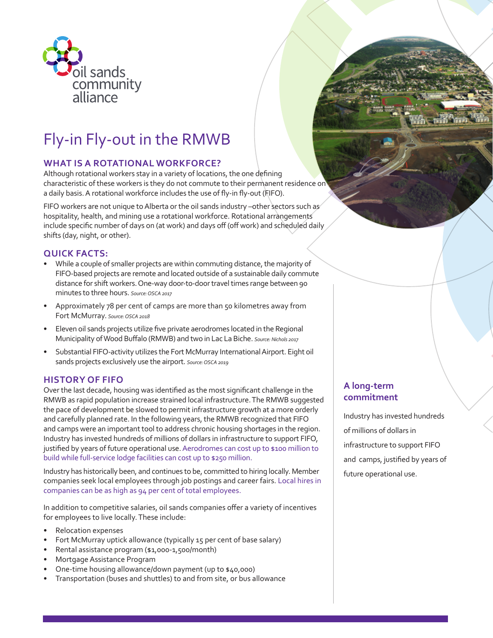

# Fly-in Fly-out in the RMWB

## **WHAT IS A ROTATIONAL WORKFORCE?**

Although rotational workers stay in a variety of locations, the one defining characteristic of these workers is they do not commute to their permanent residence on a daily basis. A rotational workforce includes the use of fly-in fly-out (FIFO).

FIFO workers are not unique to Alberta or the oil sands industry –other sectors such as hospitality, health, and mining use a rotational workforce. Rotational arrangements include specific number of days on (at work) and days off (off work) and scheduled daily shifts (day, night, or other).

## **QUICK FACTS:**

- While a couple of smaller projects are within commuting distance, the majority of FIFO-based projects are remote and located outside of a sustainable daily commute distance for shift workers. One-way door-to-door travel times range between 90 minutes to three hours. *Source: OSCA 2017*
- Approximately 78 per cent of camps are more than 50 kilometres away from Fort McMurray. *Source: OSCA 2018*
- Eleven oil sands projects utilize five private aerodromes located in the Regional Municipality of Wood Buffalo (RMWB) and two in Lac La Biche. *Source: Nichols 2017*
- Substantial FIFO-activity utilizes the Fort McMurray International Airport. Eight oil sands projects exclusively use the airport. *Source: OSCA 2019*

## **HISTORY OF FIFO**

Over the last decade, housing was identified as the most significant challenge in the RMWB as rapid population increase strained local infrastructure. The RMWB suggested the pace of development be slowed to permit infrastructure growth at a more orderly and carefully planned rate. In the following years, the RMWB recognized that FIFO and camps were an important tool to address chronic housing shortages in the region. Industry has invested hundreds of millions of dollars in infrastructure to support FIFO, justified by years of future operational use. Aerodromes can cost up to \$100 million to build while full-service lodge facilities can cost up to \$250 million.

Industry has historically been, and continues to be, committed to hiring locally. Member companies seek local employees through job postings and career fairs. Local hires in companies can be as high as 94 per cent of total employees.

In addition to competitive salaries, oil sands companies offer a variety of incentives for employees to live locally. These include:

- Relocation expenses
- Fort McMurray uptick allowance (typically 15 per cent of base salary)
- Rental assistance program (\$1,000-1,500/month)
- Mortgage Assistance Program
- One-time housing allowance/down payment (up to \$40,000)
- Transportation (buses and shuttles) to and from site, or bus allowance

# **A long-term commitment**

Industry has invested hundreds of millions of dollars in infrastructure to support FIFO and camps, justified by years of future operational use.